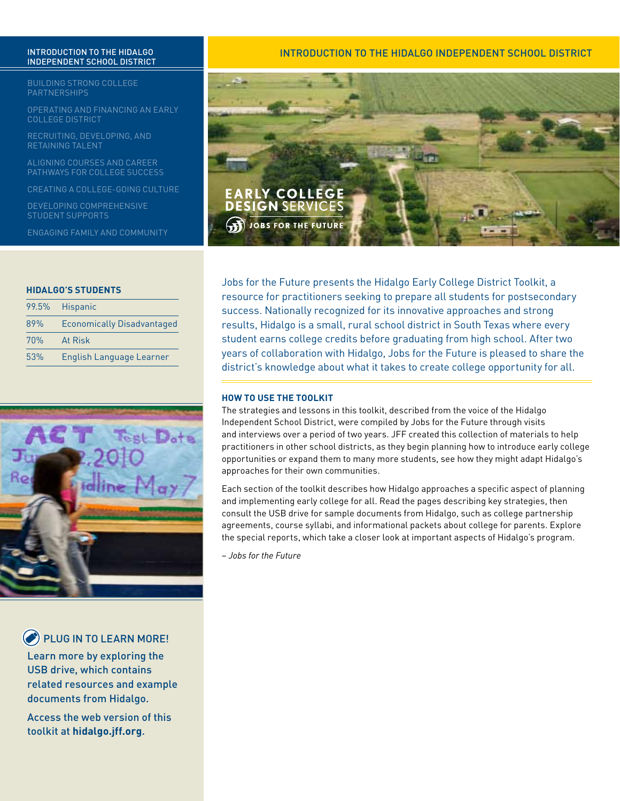# Independent School District

Building Strong College **PARTNERSHIPS** 

Operating and Financing an Early College District

Recruiting, Developing, and Retaining Talent

Aligning Courses and Career Pathways for College Success

Creating a College-Going Culture

Developing Comprehensive Student Supports

Engaging Family and Community

#### **HIDALGO'S STUDENTS**

| 99.5% | <b>Hispanic</b>                   |
|-------|-----------------------------------|
| 89%   | <b>Economically Disadvantaged</b> |
| 70%   | At Risk                           |
| 53%   | English Language Learner          |



**PLUG IN TO LEARN MORE!** 

Learn more by exploring the USB drive, which contains related resources and example documents from Hidalgo.

Access the web version of this toolkit at **hidalgo.jff.org**.

## INTRODUCTION TO THE HIDALGO INTRODUCTION TO THE HIDALGO INDEPENDENT SCHOOL DISTRICT



Jobs for the Future presents the Hidalgo Early College District Toolkit, a resource for practitioners seeking to prepare all students for postsecondary success. Nationally recognized for its innovative approaches and strong results, Hidalgo is a small, rural school district in South Texas where every student earns college credits before graduating from high school. After two years of collaboration with Hidalgo, Jobs for the Future is pleased to share the district's knowledge about what it takes to create college opportunity for all.

#### **HOW TO USE THE TOOLKIT**

The strategies and lessons in this toolkit, described from the voice of the Hidalgo Independent School District, were compiled by Jobs for the Future through visits and interviews over a period of two years. JFF created this collection of materials to help practitioners in other school districts, as they begin planning how to introduce early college opportunities or expand them to many more students, see how they might adapt Hidalgo's approaches for their own communities.

Each section of the toolkit describes how Hidalgo approaches a specific aspect of planning and implementing early college for all. Read the pages describing key strategies, then consult the USB drive for sample documents from Hidalgo, such as college partnership agreements, course syllabi, and informational packets about college for parents. Explore the special reports, which take a closer look at important aspects of Hidalgo's program.

– *Jobs for the Future*